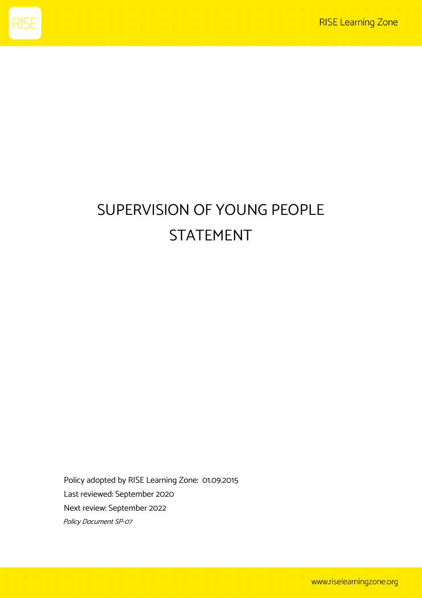

## SUPERVISION OF YOUNG PEOPLE STATEMENT

Policy adopted by RISE Learning Zone: 01.09.2015 Last reviewed: September 2020 Next review: September 2022 Policy Document SP-07